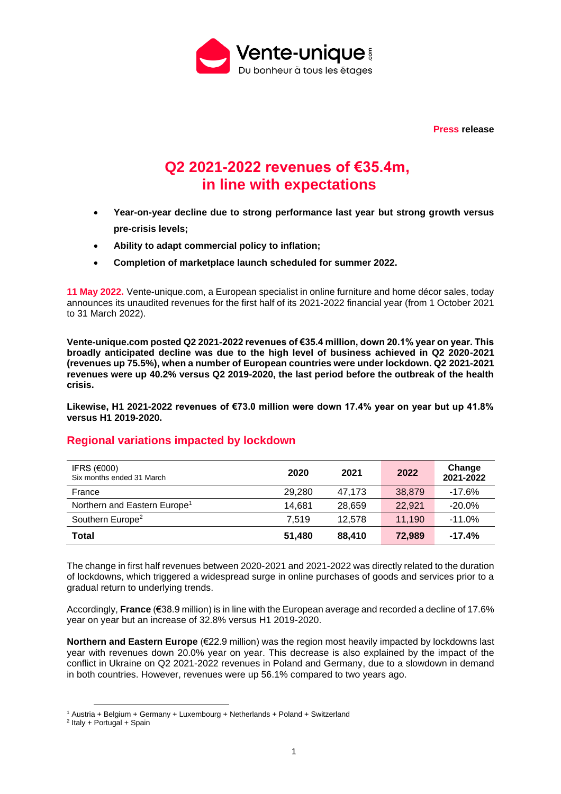

**Press release**

# **Q2 2021-2022 revenues of €35.4m, in line with expectations**

- **Year-on-year decline due to strong performance last year but strong growth versus pre-crisis levels;**
- **Ability to adapt commercial policy to inflation;**
- **Completion of marketplace launch scheduled for summer 2022.**

**11 May 2022.** Vente-unique.com, a European specialist in online furniture and home décor sales, today announces its unaudited revenues for the first half of its 2021-2022 financial year (from 1 October 2021 to 31 March 2022).

**Vente-unique.com posted Q2 2021-2022 revenues of €35.4 million, down 20.1% year on year. This broadly anticipated decline was due to the high level of business achieved in Q2 2020-2021 (revenues up 75.5%), when a number of European countries were under lockdown. Q2 2021-2021 revenues were up 40.2% versus Q2 2019-2020, the last period before the outbreak of the health crisis.** 

**Likewise, H1 2021-2022 revenues of €73.0 million were down 17.4% year on year but up 41.8% versus H1 2019-2020.** 

# **Regional variations impacted by lockdown**

| IFRS (€000)<br>Six months ended 31 March | 2020   | 2021   | 2022   | Change<br>2021-2022 |
|------------------------------------------|--------|--------|--------|---------------------|
| France                                   | 29,280 | 47.173 | 38,879 | $-17.6%$            |
| Northern and Eastern Europe <sup>1</sup> | 14.681 | 28.659 | 22.921 | $-20.0\%$           |
| Southern Europe <sup>2</sup>             | 7.519  | 12.578 | 11.190 | $-11.0\%$           |
| Total                                    | 51.480 | 88.410 | 72.989 | $-17.4%$            |

The change in first half revenues between 2020-2021 and 2021-2022 was directly related to the duration of lockdowns, which triggered a widespread surge in online purchases of goods and services prior to a gradual return to underlying trends.

Accordingly, **France** (€38.9 million) is in line with the European average and recorded a decline of 17.6% year on year but an increase of 32.8% versus H1 2019-2020.

**Northern and Eastern Europe** (€22.9 million) was the region most heavily impacted by lockdowns last year with revenues down 20.0% year on year. This decrease is also explained by the impact of the conflict in Ukraine on Q2 2021-2022 revenues in Poland and Germany, due to a slowdown in demand in both countries. However, revenues were up 56.1% compared to two years ago.

 $1$  Austria + Belgium + Germany + Luxembourg + Netherlands + Poland + Switzerland

<sup>&</sup>lt;sup>2</sup> Italy + Portugal + Spain